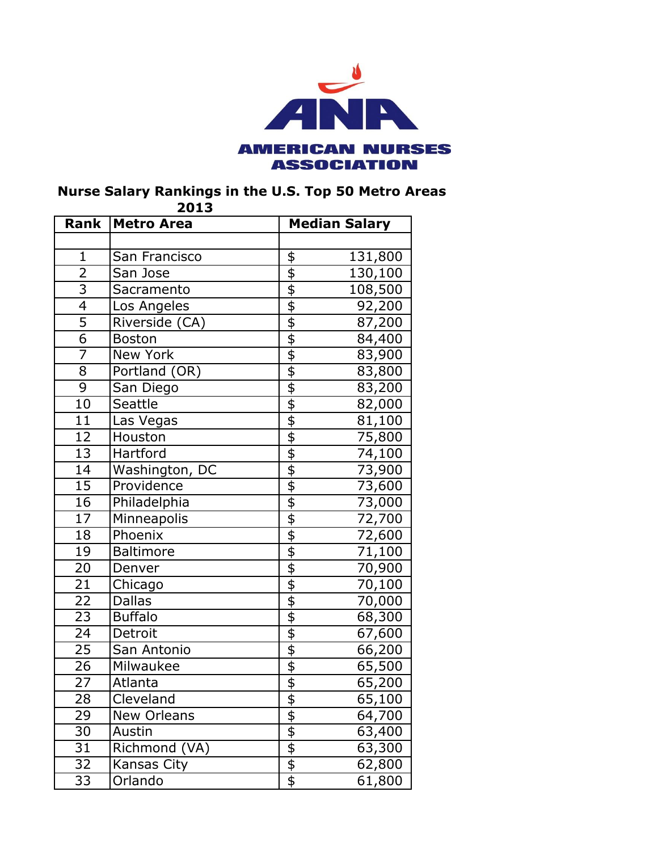

## **Nurse Salary Rankings in the U.S. Top 50 Metro Areas**

| Rank            | ZUIJ<br><b>Metro Area</b> |                                                 | <b>Median Salary</b> |  |
|-----------------|---------------------------|-------------------------------------------------|----------------------|--|
|                 |                           |                                                 |                      |  |
| $\mathbf{1}$    | San Francisco             |                                                 | 131,800              |  |
| $\overline{2}$  | San Jose                  | $\frac{6}{9}$                                   | 130,100              |  |
| $\overline{3}$  | Sacramento                | $\overline{\Phi}$                               | 108,500              |  |
| $\overline{4}$  | Los Angeles               |                                                 | 92,200               |  |
| 5               | Riverside (CA)            | $\frac{4}{9}$                                   | 87,200               |  |
| $\overline{6}$  | <b>Boston</b>             |                                                 | 84,400               |  |
| $\overline{7}$  | <b>New York</b>           |                                                 | 83,900               |  |
| $\overline{8}$  | Portland (OR)             |                                                 | 83,800               |  |
| $\overline{9}$  | San Diego                 |                                                 | 83,200               |  |
| 10              | Seattle                   | $\frac{1}{2}$                                   | 82,000               |  |
| 11              | Las Vegas                 | $\overline{\overline{\overline{\overline{z}}}}$ | 81,100               |  |
| 12              | Houston                   | $\frac{1}{\theta}$                              | 75,800               |  |
| 13              | Hartford                  |                                                 | 74,100               |  |
| $\overline{14}$ | Washington, DC            |                                                 | 73,900               |  |
| 15              | Providence                | $\frac{4}{9}$                                   | 73,600               |  |
| 16              | Philadelphia              |                                                 | 73,000               |  |
| 17              | Minneapolis               | $\overline{\overline{\overline{\overline{z}}}}$ | 72,700               |  |
| 18              | Phoenix                   | $\frac{1}{2}$                                   | 72,600               |  |
| 19              | <b>Baltimore</b>          |                                                 | 71,100               |  |
| 20              | Denver                    |                                                 | 70,900               |  |
| 21              | Chicago                   |                                                 | 70,100               |  |
| $\overline{22}$ | <b>Dallas</b>             |                                                 | 70,000               |  |
| 23              | <b>Buffalo</b>            | $\overline{\mathfrak{s}}$                       | 68,300               |  |
| $\overline{24}$ | Detroit                   | \$\$\$\$                                        | 67,600               |  |
| 25              | San Antonio               |                                                 | 66,200               |  |
| $\overline{26}$ | Milwaukee                 |                                                 | 65,500               |  |
| 27              | Atlanta                   |                                                 | 65,200               |  |
| 28              | Cleveland                 |                                                 | 65,100               |  |
| 29              | New Orleans               | \$ \$ \$ \$                                     | 64,700               |  |
| 30              | Austin                    |                                                 | 63,400               |  |
| 31              | Richmond (VA)             |                                                 | 63,300               |  |
| 32              | Kansas City               |                                                 | 62,800               |  |
| 33              | Orlando                   |                                                 | 61,800               |  |